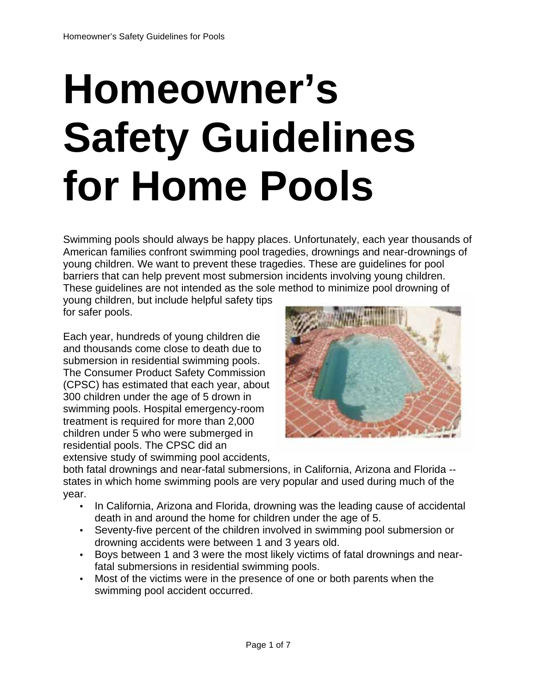# **Homeowner's Safety Guidelines for Home Pools**

Swimming pools should always be happy places. Unfortunately, each year thousands of American families confront swimming pool tragedies, drownings and near-drownings of young children. We want to prevent these tragedies. These are guidelines for pool barriers that can help prevent most submersion incidents involving young children. These guidelines are not intended as the sole method to minimize pool drowning of

young children, but include helpful safety tips for safer pools.

Each year, hundreds of young children die and thousands come close to death due to submersion in residential swimming pools. The Consumer Product Safety Commission (CPSC) has estimated that each year, about 300 children under the age of 5 drown in swimming pools. Hospital emergency-room treatment is required for more than 2,000 children under 5 who were submerged in residential pools. The CPSC did an extensive study of swimming pool accidents,



both fatal drownings and near-fatal submersions, in California, Arizona and Florida - states in which home swimming pools are very popular and used during much of the year.

- In California, Arizona and Florida, drowning was the leading cause of accidental death in and around the home for children under the age of 5.
- Seventy-five percent of the children involved in swimming pool submersion or drowning accidents were between 1 and 3 years old.
- Boys between 1 and 3 were the most likely victims of fatal drownings and nearfatal submersions in residential swimming pools.
- Most of the victims were in the presence of one or both parents when the swimming pool accident occurred.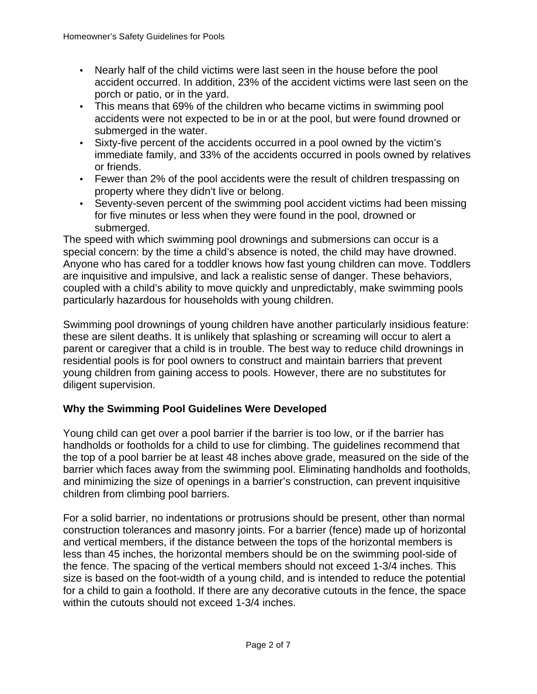- Nearly half of the child victims were last seen in the house before the pool accident occurred. In addition, 23% of the accident victims were last seen on the porch or patio, or in the yard.
- This means that 69% of the children who became victims in swimming pool accidents were not expected to be in or at the pool, but were found drowned or submerged in the water.
- Sixty-five percent of the accidents occurred in a pool owned by the victim's immediate family, and 33% of the accidents occurred in pools owned by relatives or friends.
- Fewer than 2% of the pool accidents were the result of children trespassing on property where they didn't live or belong.
- Seventy-seven percent of the swimming pool accident victims had been missing for five minutes or less when they were found in the pool, drowned or submerged.

The speed with which swimming pool drownings and submersions can occur is a special concern: by the time a child's absence is noted, the child may have drowned. Anyone who has cared for a toddler knows how fast young children can move. Toddlers are inquisitive and impulsive, and lack a realistic sense of danger. These behaviors, coupled with a child's ability to move quickly and unpredictably, make swimming pools particularly hazardous for households with young children.

Swimming pool drownings of young children have another particularly insidious feature: these are silent deaths. It is unlikely that splashing or screaming will occur to alert a parent or caregiver that a child is in trouble. The best way to reduce child drownings in residential pools is for pool owners to construct and maintain barriers that prevent young children from gaining access to pools. However, there are no substitutes for diligent supervision.

# **Why the Swimming Pool Guidelines Were Developed**

Young child can get over a pool barrier if the barrier is too low, or if the barrier has handholds or footholds for a child to use for climbing. The guidelines recommend that the top of a pool barrier be at least 48 inches above grade, measured on the side of the barrier which faces away from the swimming pool. Eliminating handholds and footholds, and minimizing the size of openings in a barrier's construction, can prevent inquisitive children from climbing pool barriers.

For a solid barrier, no indentations or protrusions should be present, other than normal construction tolerances and masonry joints. For a barrier (fence) made up of horizontal and vertical members, if the distance between the tops of the horizontal members is less than 45 inches, the horizontal members should be on the swimming pool-side of the fence. The spacing of the vertical members should not exceed 1-3/4 inches. This size is based on the foot-width of a young child, and is intended to reduce the potential for a child to gain a foothold. If there are any decorative cutouts in the fence, the space within the cutouts should not exceed 1-3/4 inches.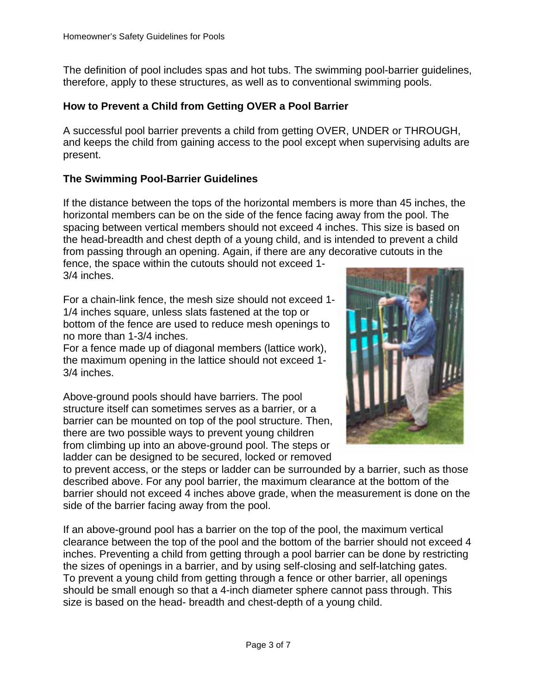The definition of pool includes spas and hot tubs. The swimming pool-barrier guidelines, therefore, apply to these structures, as well as to conventional swimming pools.

# **How to Prevent a Child from Getting OVER a Pool Barrier**

A successful pool barrier prevents a child from getting OVER, UNDER or THROUGH, and keeps the child from gaining access to the pool except when supervising adults are present.

# **The Swimming Pool-Barrier Guidelines**

If the distance between the tops of the horizontal members is more than 45 inches, the horizontal members can be on the side of the fence facing away from the pool. The spacing between vertical members should not exceed 4 inches. This size is based on the head-breadth and chest depth of a young child, and is intended to prevent a child from passing through an opening. Again, if there are any decorative cutouts in the

fence, the space within the cutouts should not exceed 1- 3/4 inches.

For a chain-link fence, the mesh size should not exceed 1- 1/4 inches square, unless slats fastened at the top or bottom of the fence are used to reduce mesh openings to no more than 1-3/4 inches.

For a fence made up of diagonal members (lattice work), the maximum opening in the lattice should not exceed 1- 3/4 inches.

Above-ground pools should have barriers. The pool structure itself can sometimes serves as a barrier, or a barrier can be mounted on top of the pool structure. Then, there are two possible ways to prevent young children from climbing up into an above-ground pool. The steps or ladder can be designed to be secured, locked or removed



to prevent access, or the steps or ladder can be surrounded by a barrier, such as those described above. For any pool barrier, the maximum clearance at the bottom of the barrier should not exceed 4 inches above grade, when the measurement is done on the side of the barrier facing away from the pool.

If an above-ground pool has a barrier on the top of the pool, the maximum vertical clearance between the top of the pool and the bottom of the barrier should not exceed 4 inches. Preventing a child from getting through a pool barrier can be done by restricting the sizes of openings in a barrier, and by using self-closing and self-latching gates. To prevent a young child from getting through a fence or other barrier, all openings should be small enough so that a 4-inch diameter sphere cannot pass through. This size is based on the head- breadth and chest-depth of a young child.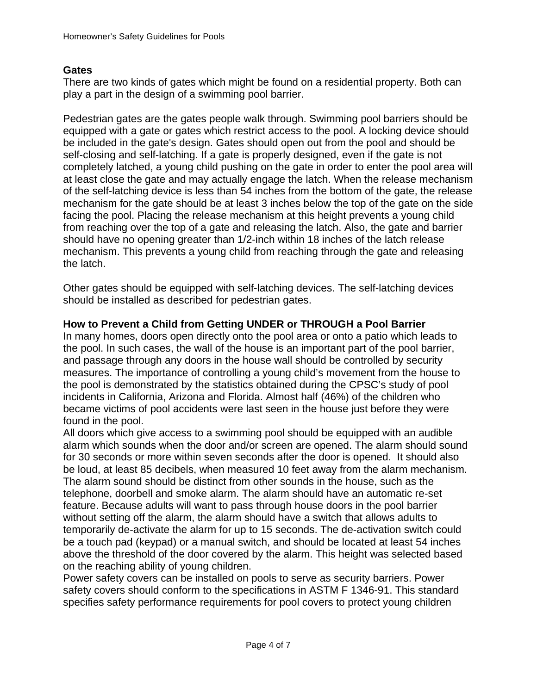## **Gates**

There are two kinds of gates which might be found on a residential property. Both can play a part in the design of a swimming pool barrier.

Pedestrian gates are the gates people walk through. Swimming pool barriers should be equipped with a gate or gates which restrict access to the pool. A locking device should be included in the gate's design. Gates should open out from the pool and should be self-closing and self-latching. If a gate is properly designed, even if the gate is not completely latched, a young child pushing on the gate in order to enter the pool area will at least close the gate and may actually engage the latch. When the release mechanism of the self-latching device is less than 54 inches from the bottom of the gate, the release mechanism for the gate should be at least 3 inches below the top of the gate on the side facing the pool. Placing the release mechanism at this height prevents a young child from reaching over the top of a gate and releasing the latch. Also, the gate and barrier should have no opening greater than 1/2-inch within 18 inches of the latch release mechanism. This prevents a young child from reaching through the gate and releasing the latch.

Other gates should be equipped with self-latching devices. The self-latching devices should be installed as described for pedestrian gates.

## **How to Prevent a Child from Getting UNDER or THROUGH a Pool Barrier**

In many homes, doors open directly onto the pool area or onto a patio which leads to the pool. In such cases, the wall of the house is an important part of the pool barrier, and passage through any doors in the house wall should be controlled by security measures. The importance of controlling a young child's movement from the house to the pool is demonstrated by the statistics obtained during the CPSC's study of pool incidents in California, Arizona and Florida. Almost half (46%) of the children who became victims of pool accidents were last seen in the house just before they were found in the pool.

All doors which give access to a swimming pool should be equipped with an audible alarm which sounds when the door and/or screen are opened. The alarm should sound for 30 seconds or more within seven seconds after the door is opened. It should also be loud, at least 85 decibels, when measured 10 feet away from the alarm mechanism. The alarm sound should be distinct from other sounds in the house, such as the telephone, doorbell and smoke alarm. The alarm should have an automatic re-set feature. Because adults will want to pass through house doors in the pool barrier without setting off the alarm, the alarm should have a switch that allows adults to temporarily de-activate the alarm for up to 15 seconds. The de-activation switch could be a touch pad (keypad) or a manual switch, and should be located at least 54 inches above the threshold of the door covered by the alarm. This height was selected based on the reaching ability of young children.

Power safety covers can be installed on pools to serve as security barriers. Power safety covers should conform to the specifications in ASTM F 1346-91. This standard specifies safety performance requirements for pool covers to protect young children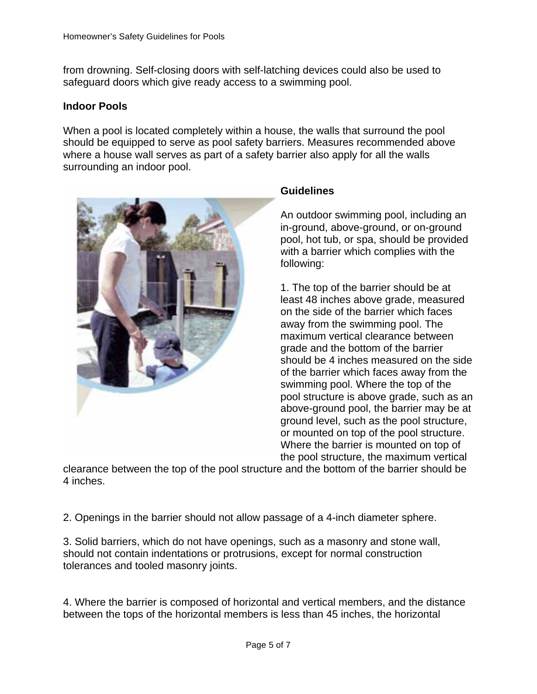from drowning. Self-closing doors with self-latching devices could also be used to safeguard doors which give ready access to a swimming pool.

#### **Indoor Pools**

When a pool is located completely within a house, the walls that surround the pool should be equipped to serve as pool safety barriers. Measures recommended above where a house wall serves as part of a safety barrier also apply for all the walls surrounding an indoor pool.



#### **Guidelines**

An outdoor swimming pool, including an in-ground, above-ground, or on-ground pool, hot tub, or spa, should be provided with a barrier which complies with the following:

1. The top of the barrier should be at least 48 inches above grade, measured on the side of the barrier which faces away from the swimming pool. The maximum vertical clearance between grade and the bottom of the barrier should be 4 inches measured on the side of the barrier which faces away from the swimming pool. Where the top of the pool structure is above grade, such as an above-ground pool, the barrier may be at ground level, such as the pool structure, or mounted on top of the pool structure. Where the barrier is mounted on top of the pool structure, the maximum vertical

clearance between the top of the pool structure and the bottom of the barrier should be 4 inches.

2. Openings in the barrier should not allow passage of a 4-inch diameter sphere.

3. Solid barriers, which do not have openings, such as a masonry and stone wall, should not contain indentations or protrusions, except for normal construction tolerances and tooled masonry joints.

4. Where the barrier is composed of horizontal and vertical members, and the distance between the tops of the horizontal members is less than 45 inches, the horizontal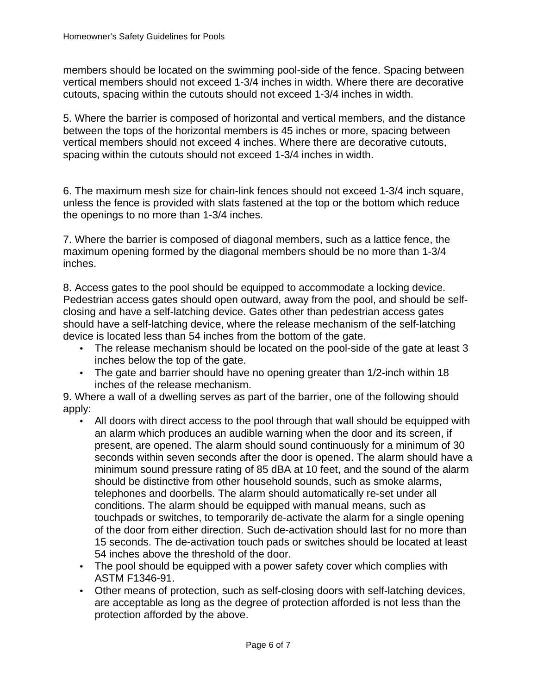members should be located on the swimming pool-side of the fence. Spacing between vertical members should not exceed 1-3/4 inches in width. Where there are decorative cutouts, spacing within the cutouts should not exceed 1-3/4 inches in width.

5. Where the barrier is composed of horizontal and vertical members, and the distance between the tops of the horizontal members is 45 inches or more, spacing between vertical members should not exceed 4 inches. Where there are decorative cutouts, spacing within the cutouts should not exceed 1-3/4 inches in width.

6. The maximum mesh size for chain-link fences should not exceed 1-3/4 inch square, unless the fence is provided with slats fastened at the top or the bottom which reduce the openings to no more than 1-3/4 inches.

7. Where the barrier is composed of diagonal members, such as a lattice fence, the maximum opening formed by the diagonal members should be no more than 1-3/4 inches.

8. Access gates to the pool should be equipped to accommodate a locking device. Pedestrian access gates should open outward, away from the pool, and should be selfclosing and have a self-latching device. Gates other than pedestrian access gates should have a self-latching device, where the release mechanism of the self-latching device is located less than 54 inches from the bottom of the gate.

- The release mechanism should be located on the pool-side of the gate at least 3 inches below the top of the gate.
- The gate and barrier should have no opening greater than 1/2-inch within 18 inches of the release mechanism.

9. Where a wall of a dwelling serves as part of the barrier, one of the following should apply:

- All doors with direct access to the pool through that wall should be equipped with an alarm which produces an audible warning when the door and its screen, if present, are opened. The alarm should sound continuously for a minimum of 30 seconds within seven seconds after the door is opened. The alarm should have a minimum sound pressure rating of 85 dBA at 10 feet, and the sound of the alarm should be distinctive from other household sounds, such as smoke alarms, telephones and doorbells. The alarm should automatically re-set under all conditions. The alarm should be equipped with manual means, such as touchpads or switches, to temporarily de-activate the alarm for a single opening of the door from either direction. Such de-activation should last for no more than 15 seconds. The de-activation touch pads or switches should be located at least 54 inches above the threshold of the door.
- The pool should be equipped with a power safety cover which complies with ASTM F1346-91.
- Other means of protection, such as self-closing doors with self-latching devices, are acceptable as long as the degree of protection afforded is not less than the protection afforded by the above.